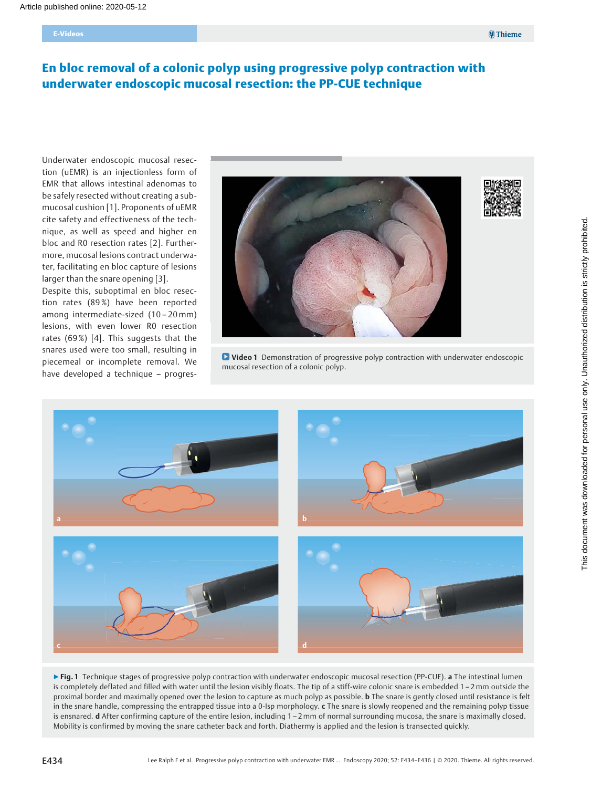# En bloc removal of a colonic polyp using progressive polyp contraction with underwater endoscopic mucosal resection: the PP-CUE technique

Underwater endoscopic mucosal resection (uEMR) is an injectionless form of EMR that allows intestinal adenomas to be safely resected without creating a submucosal cushion [1]. Proponents of uEMR cite safety and effectiveness of the technique, as well as speed and higher en bloc and R0 resection rates [2]. Furthermore, mucosal lesions contract underwater, facilitating en bloc capture of lesions larger than the snare opening [3].

Despite this, suboptimal en bloc resection rates (89%) have been reported among intermediate-sized (10 – 20mm) lesions, with even lower R0 resection rates (69%) [4]. This suggests that the snares used were too small, resulting in piecemeal or incomplete removal. We have developed a technique – progres-



**D** Video 1 Demonstration of progressive polyp contraction with underwater endoscopic mucosal resection of a colonic polyp.



▶ Fig. 1 Technique stages of progressive polyp contraction with underwater endoscopic mucosal resection (PP-CUE). a The intestinal lumen is completely deflated and filled with water until the lesion visibly floats. The tip of a stiff-wire colonic snare is embedded 1 – 2mm outside the proximal border and maximally opened over the lesion to capture as much polyp as possible. **b** The snare is gently closed until resistance is felt in the snare handle, compressing the entrapped tissue into a 0-Isp morphology. c The snare is slowly reopened and the remaining polyp tissue is ensnared. d After confirming capture of the entire lesion, including 1 – 2mm of normal surrounding mucosa, the snare is maximally closed. Mobility is confirmed by moving the snare catheter back and forth. Diathermy is applied and the lesion is transected quickly.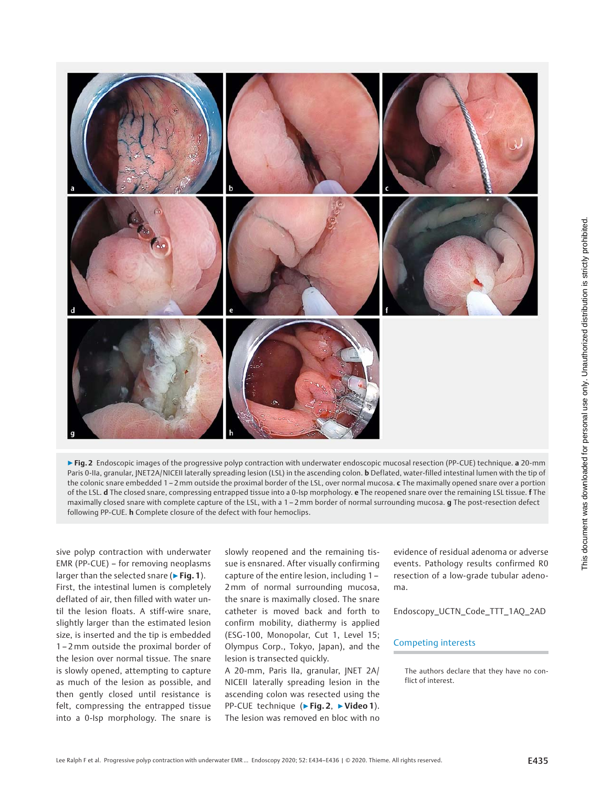

▶ Fig. 2 Endoscopic images of the progressive polyp contraction with underwater endoscopic mucosal resection (PP-CUE) technique. a 20-mm Paris 0-IIa, granular, JNET2A/NICEII laterally spreading lesion (LSL) in the ascending colon. **b** Deflated, water-filled intestinal lumen with the tip of the colonic snare embedded 1 – 2 mm outside the proximal border of the LSL, over normal mucosa. c The maximally opened snare over a portion of the LSL. d The closed snare, compressing entrapped tissue into a 0-Isp morphology. e The reopened snare over the remaining LSL tissue. f The maximally closed snare with complete capture of the LSL, with a 1 – 2mm border of normal surrounding mucosa. g The post-resection defect following PP-CUE. h Complete closure of the defect with four hemoclips.

sive polyp contraction with underwater EMR (PP-CUE) – for removing neoplasms larger than the selected snare ( $\triangleright$  Fig. 1). First, the intestinal lumen is completely deflated of air, then filled with water until the lesion floats. A stiff-wire snare, slightly larger than the estimated lesion size, is inserted and the tip is embedded 1 – 2mm outside the proximal border of the lesion over normal tissue. The snare is slowly opened, attempting to capture as much of the lesion as possible, and then gently closed until resistance is felt, compressing the entrapped tissue into a 0-Isp morphology. The snare is

slowly reopened and the remaining tissue is ensnared. After visually confirming capture of the entire lesion, including 1 – 2mm of normal surrounding mucosa, the snare is maximally closed. The snare catheter is moved back and forth to confirm mobility, diathermy is applied (ESG-100, Monopolar, Cut 1, Level 15; Olympus Corp., Tokyo, Japan), and the lesion is transected quickly.

A 20-mm, Paris IIa, granular, JNET 2A/ NICEII laterally spreading lesion in the ascending colon was resected using the PP-CUE technique (▶Fig. 2, ▶Video 1). The lesion was removed en bloc with no

evidence of residual adenoma or adverse events. Pathology results confirmed R0 resection of a low-grade tubular adenoma.

Endoscopy\_UCTN\_Code\_TTT\_1AQ\_2AD

### Competing interests

The authors declare that they have no conflict of interest.